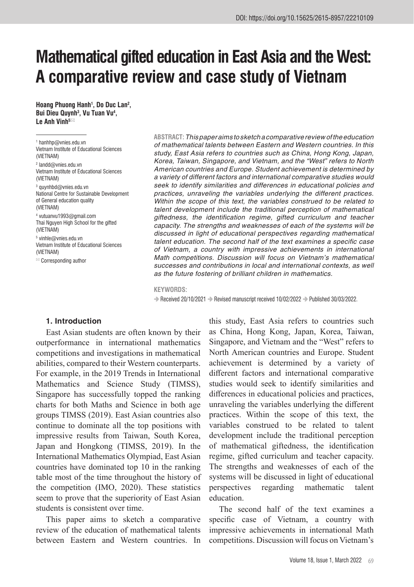# **Mathematical gifted education in East Asia and the West: A comparative review and case study of Vietnam**

**Hoang Phuong Hanh1 , Do Duc Lan2 , Bui Dieu Quynh3 , Vu Tuan Vu4 , Le Anh Vinh5**

1 hanhhp@vnies.edu.vn Vietnam Institute of Educational Sciences (VIETNAM) 2 landd@vnies.edu.vn Vietnam Institute of Educational Sciences

(VIETNAM)  $^{\rm 3}$  quynhbd@vnies.edu.vn

National Centre for Sustainable Development of General education quality (VIETNAM)

4 vutuanvu1993@gmail.com Thai Nguyen High School for the gifted (VIETNAM)

5 vinhle@vnies.edu.vn Vietnam Institute of Educational Sciences (VIETNAM)

 $\mathbb{Z}$  Corresponding author

**ABSTRACT:***This paper aims to sketch a comparative review of the education of mathematical talents between Eastern and Western countries. In this study, East Asia refers to countries such as China, Hong Kong, Japan, Korea, Taiwan, Singapore, and Vietnam, and the "West" refers to North American countries and Europe. Student achievement is determined by a variety of different factors and international comparative studies would seek to identify similarities and differences in educational policies and practices, unraveling the variables underlying the different practices. Within the scope of this text, the variables construed to be related to talent development include the traditional perception of mathematical giftedness, the identification regime, gifted curriculum and teacher capacity. The strengths and weaknesses of each of the systems will be discussed in light of educational perspectives regarding mathematical talent education. The second half of the text examines a specific case of Vietnam, a country with impressive achievements in international Math competitions. Discussion will focus on Vietnam's mathematical successes and contributions in local and international contexts, as well as the future fostering of brilliant children in mathematics.*

#### **KEYWORDS:**

Received 20/10/2021 Revised manuscript received 10/02/2022 Published 30/03/2022.

#### **1. Introduction**

East Asian students are often known by their outperformance in international mathematics competitions and investigations in mathematical abilities, compared to their Western counterparts. For example, in the 2019 Trends in International Mathematics and Science Study (TIMSS), Singapore has successfully topped the ranking charts for both Maths and Science in both age groups TIMSS (2019). East Asian countries also continue to dominate all the top positions with impressive results from Taiwan, South Korea, Japan and Hongkong (TIMSS, 2019). In the International Mathematics Olympiad, East Asian countries have dominated top 10 in the ranking table most of the time throughout the history of the competition (IMO, 2020). These statistics seem to prove that the superiority of East Asian students is consistent over time.

This paper aims to sketch a comparative review of the education of mathematical talents between Eastern and Western countries. In

this study, East Asia refers to countries such as China, Hong Kong, Japan, Korea, Taiwan, Singapore, and Vietnam and the "West" refers to North American countries and Europe. Student achievement is determined by a variety of different factors and international comparative studies would seek to identify similarities and differences in educational policies and practices, unraveling the variables underlying the different practices. Within the scope of this text, the variables construed to be related to talent development include the traditional perception of mathematical giftedness, the identification regime, gifted curriculum and teacher capacity. The strengths and weaknesses of each of the systems will be discussed in light of educational perspectives regarding mathematic talent education.

The second half of the text examines a specific case of Vietnam, a country with impressive achievements in international Math competitions. Discussion will focus on Vietnam's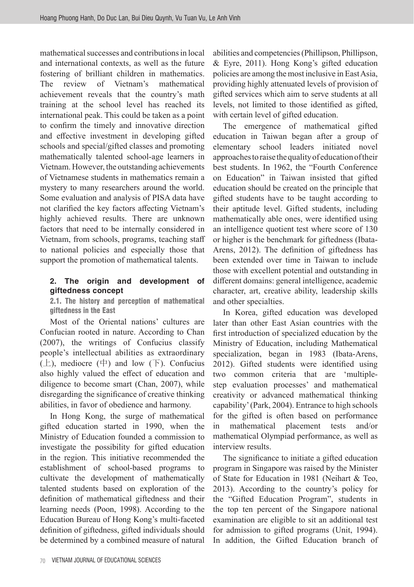mathematical successes and contributions in local and international contexts, as well as the future fostering of brilliant children in mathematics. The review of Vietnam's mathematical achievement reveals that the country's math training at the school level has reached its international peak. This could be taken as a point to confirm the timely and innovative direction and effective investment in developing gifted schools and special/gifted classes and promoting mathematically talented school-age learners in Vietnam. However, the outstanding achievements of Vietnamese students in mathematics remain a mystery to many researchers around the world. Some evaluation and analysis of PISA data have not clarified the key factors affecting Vietnam's highly achieved results. There are unknown factors that need to be internally considered in Vietnam, from schools, programs, teaching staff to national policies and especially those that support the promotion of mathematical talents.

## **2. The origin and development of giftedness concept**

2.1. The history and perception of mathematical giftedness in the East

Most of the Oriental nations' cultures are Confucian rooted in nature. According to Chan (2007), the writings of Confucius classify people's intellectual abilities as extraordinary  $(\pm)$ , mediocre  $(\mp)$  and low  $(\mp)$ . Confucius also highly valued the effect of education and diligence to become smart (Chan, 2007), while disregarding the significance of creative thinking abilities, in favor of obedience and harmony.

In Hong Kong, the surge of mathematical gifted education started in 1990, when the Ministry of Education founded a commission to investigate the possibility for gifted education in the region. This initiative recommended the establishment of school-based programs to cultivate the development of mathematically talented students based on exploration of the definition of mathematical giftedness and their learning needs (Poon, 1998). According to the Education Bureau of Hong Kong's multi-faceted definition of giftedness, gifted individuals should be determined by a combined measure of natural

abilities and competencies (Phillipson, Phillipson, & Eyre, 2011). Hong Kong's gifted education policies are among the most inclusive in East Asia, providing highly attenuated levels of provision of gifted services which aim to serve students at all levels, not limited to those identified as gifted, with certain level of gifted education.

The emergence of mathematical gifted education in Taiwan began after a group of elementary school leaders initiated novel approaches to raise the quality of education of their best students. In 1962, the "Fourth Conference on Education" in Taiwan insisted that gifted education should be created on the principle that gifted students have to be taught according to their aptitude level. Gifted students, including mathematically able ones, were identified using an intelligence quotient test where score of 130 or higher is the benchmark for giftedness (Ibata-Arens, 2012). The definition of giftedness has been extended over time in Taiwan to include those with excellent potential and outstanding in different domains: general intelligence, academic character, art, creative ability, leadership skills and other specialties.

In Korea, gifted education was developed later than other East Asian countries with the first introduction of specialized education by the Ministry of Education, including Mathematical specialization, began in 1983 (Ibata-Arens, 2012). Gifted students were identified using two common criteria that are 'multiplestep evaluation processes' and mathematical creativity or advanced mathematical thinking capability' (Park, 2004). Entrance to high schools for the gifted is often based on performance in mathematical placement tests and/or mathematical Olympiad performance, as well as interview results.

The significance to initiate a gifted education program in Singapore was raised by the Minister of State for Education in 1981 (Neihart & Teo, 2013). According to the country's policy for the "Gifted Education Program", students in the top ten percent of the Singapore national examination are eligible to sit an additional test for admission to gifted programs (Unit, 1994). In addition, the Gifted Education branch of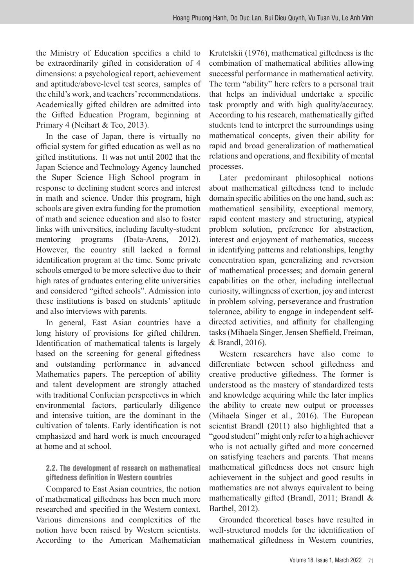the Ministry of Education specifies a child to be extraordinarily gifted in consideration of 4 dimensions: a psychological report, achievement and aptitude/above-level test scores, samples of the child's work, and teachers' recommendations. Academically gifted children are admitted into the Gifted Education Program, beginning at Primary 4 (Neihart & Teo, 2013).

In the case of Japan, there is virtually no official system for gifted education as well as no gifted institutions. It was not until 2002 that the Japan Science and Technology Agency launched the Super Science High School program in response to declining student scores and interest in math and science. Under this program, high schools are given extra funding for the promotion of math and science education and also to foster links with universities, including faculty-student mentoring programs (Ibata-Arens, 2012). However, the country still lacked a formal identification program at the time. Some private schools emerged to be more selective due to their high rates of graduates entering elite universities and considered "gifted schools". Admission into these institutions is based on students' aptitude and also interviews with parents.

In general, East Asian countries have a long history of provisions for gifted children. Identification of mathematical talents is largely based on the screening for general giftedness and outstanding performance in advanced Mathematics papers. The perception of ability and talent development are strongly attached with traditional Confucian perspectives in which environmental factors, particularly diligence and intensive tuition, are the dominant in the cultivation of talents. Early identification is not emphasized and hard work is much encouraged at home and at school.

## 2.2. The development of research on mathematical giftedness definition in Western countries

Compared to East Asian countries, the notion of mathematical giftedness has been much more researched and specified in the Western context. Various dimensions and complexities of the notion have been raised by Western scientists. According to the American Mathematician Krutetskii (1976), mathematical giftedness is the combination of mathematical abilities allowing successful performance in mathematical activity. The term "ability" here refers to a personal trait that helps an individual undertake a specific task promptly and with high quality/accuracy. According to his research, mathematically gifted students tend to interpret the surroundings using mathematical concepts, given their ability for rapid and broad generalization of mathematical relations and operations, and flexibility of mental processes.

Later predominant philosophical notions about mathematical giftedness tend to include domain specific abilities on the one hand, such as: mathematical sensibility, exceptional memory, rapid content mastery and structuring, atypical problem solution, preference for abstraction, interest and enjoyment of mathematics, success in identifying patterns and relationships, lengthy concentration span, generalizing and reversion of mathematical processes; and domain general capabilities on the other, including intellectual curiosity, willingness of exertion, joy and interest in problem solving, perseverance and frustration tolerance, ability to engage in independent selfdirected activities, and affinity for challenging tasks (Mihaela Singer, Jensen Sheffield, Freiman, & Brandl, 2016).

Western researchers have also come to differentiate between school giftedness and creative productive giftedness. The former is understood as the mastery of standardized tests and knowledge acquiring while the later implies the ability to create new output or processes (Mihaela Singer et al., 2016). The European scientist Brandl (2011) also highlighted that a "good student" might only refer to a high achiever who is not actually gifted and more concerned on satisfying teachers and parents. That means mathematical giftedness does not ensure high achievement in the subject and good results in mathematics are not always equivalent to being mathematically gifted (Brandl, 2011; Brandl & Barthel, 2012).

Grounded theoretical bases have resulted in well-structured models for the identification of mathematical giftedness in Western countries,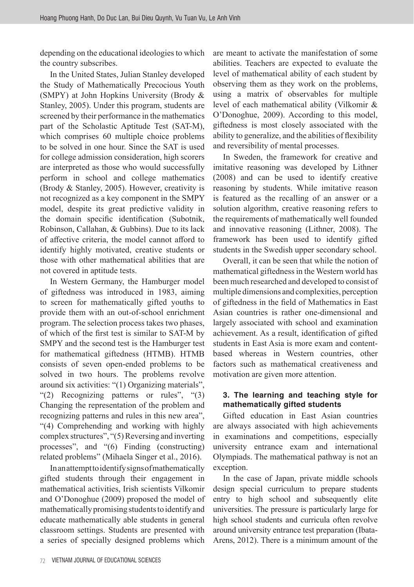depending on the educational ideologies to which the country subscribes.

In the United States, Julian Stanley developed the Study of Mathematically Precocious Youth (SMPY) at John Hopkins University (Brody & Stanley, 2005). Under this program, students are screened by their performance in the mathematics part of the Scholastic Aptitude Test (SAT-M), which comprises 60 multiple choice problems to be solved in one hour. Since the SAT is used for college admission consideration, high scorers are interpreted as those who would successfully perform in school and college mathematics (Brody & Stanley, 2005). However, creativity is not recognized as a key component in the SMPY model, despite its great predictive validity in the domain specific identification (Subotnik, Robinson, Callahan, & Gubbins). Due to its lack of affective criteria, the model cannot afford to identify highly motivated, creative students or those with other mathematical abilities that are not covered in aptitude tests.

In Western Germany, the Hamburger model of giftedness was introduced in 1983, aiming to screen for mathematically gifted youths to provide them with an out-of-school enrichment program. The selection process takes two phases, of which of the first test is similar to SAT-M by SMPY and the second test is the Hamburger test for mathematical giftedness (HTMB). HTMB consists of seven open-ended problems to be solved in two hours. The problems revolve around six activities: "(1) Organizing materials", "(2) Recognizing patterns or rules", "(3) Changing the representation of the problem and recognizing patterns and rules in this new area", "(4) Comprehending and working with highly complex structures", "(5) Reversing and inverting processes", and "(6) Finding (constructing) related problems" (Mihaela Singer et al., 2016).

In an attempt to identify signs of mathematically gifted students through their engagement in mathematical activities, Irish scientists Vilkomir and O'Donoghue (2009) proposed the model of mathematically promising students to identify and educate mathematically able students in general classroom settings. Students are presented with a series of specially designed problems which

are meant to activate the manifestation of some abilities. Teachers are expected to evaluate the level of mathematical ability of each student by observing them as they work on the problems, using a matrix of observables for multiple level of each mathematical ability (Vilkomir & O'Donoghue, 2009). According to this model, giftedness is most closely associated with the ability to generalize, and the abilities of flexibility and reversibility of mental processes.

In Sweden, the framework for creative and imitative reasoning was developed by Lithner (2008) and can be used to identify creative reasoning by students. While imitative reason is featured as the recalling of an answer or a solution algorithm, creative reasoning refers to the requirements of mathematically well founded and innovative reasoning (Lithner, 2008). The framework has been used to identify gifted students in the Swedish upper secondary school.

Overall, it can be seen that while the notion of mathematical giftedness in the Western world has been much researched and developed to consist of multiple dimensions and complexities, perception of giftedness in the field of Mathematics in East Asian countries is rather one-dimensional and largely associated with school and examination achievement. As a result, identification of gifted students in East Asia is more exam and contentbased whereas in Western countries, other factors such as mathematical creativeness and motivation are given more attention.

## **3. The learning and teaching style for mathematically gifted students**

Gifted education in East Asian countries are always associated with high achievements in examinations and competitions, especially university entrance exam and international Olympiads. The mathematical pathway is not an exception.

In the case of Japan, private middle schools design special curriculum to prepare students entry to high school and subsequently elite universities. The pressure is particularly large for high school students and curricula often revolve around university entrance test preparation (Ibata-Arens, 2012). There is a minimum amount of the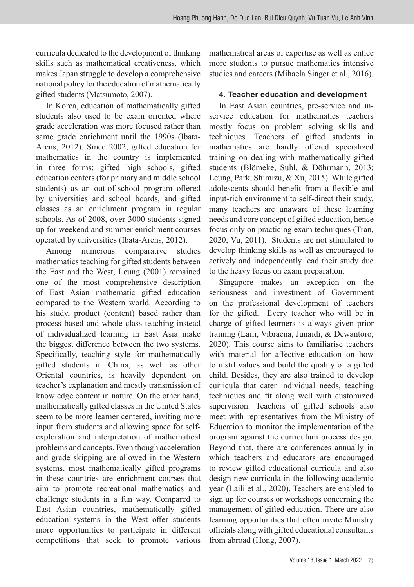curricula dedicated to the development of thinking skills such as mathematical creativeness, which makes Japan struggle to develop a comprehensive national policy for the education of mathematically gifted students (Matsumoto, 2007).

In Korea, education of mathematically gifted students also used to be exam oriented where grade acceleration was more focused rather than same grade enrichment until the 1990s (Ibata-Arens, 2012). Since 2002, gifted education for mathematics in the country is implemented in three forms: gifted high schools, gifted education centers (for primary and middle school students) as an out-of-school program offered by universities and school boards, and gifted classes as an enrichment program in regular schools. As of 2008, over 3000 students signed up for weekend and summer enrichment courses operated by universities (Ibata-Arens, 2012).

Among numerous comparative studies mathematics teaching for gifted students between the East and the West, Leung (2001) remained one of the most comprehensive description of East Asian mathematic gifted education compared to the Western world. According to his study, product (content) based rather than process based and whole class teaching instead of individualized learning in East Asia make the biggest difference between the two systems. Specifically, teaching style for mathematically gifted students in China, as well as other Oriental countries, is heavily dependent on teacher's explanation and mostly transmission of knowledge content in nature. On the other hand, mathematically gifted classes in the United States seem to be more learner centered, inviting more input from students and allowing space for selfexploration and interpretation of mathematical problems and concepts. Even though acceleration and grade skipping are allowed in the Western systems, most mathematically gifted programs in these countries are enrichment courses that aim to promote recreational mathematics and challenge students in a fun way. Compared to East Asian countries, mathematically gifted education systems in the West offer students more opportunities to participate in different competitions that seek to promote various

mathematical areas of expertise as well as entice more students to pursue mathematics intensive studies and careers (Mihaela Singer et al., 2016).

## **4. Teacher education and development**

In East Asian countries, pre-service and inservice education for mathematics teachers mostly focus on problem solving skills and techniques. Teachers of gifted students in mathematics are hardly offered specialized training on dealing with mathematically gifted students (Blömeke, Suhl, & Döhrmann, 2013; Leung, Park, Shimizu, & Xu, 2015). While gifted adolescents should benefit from a flexible and input-rich environment to self-direct their study, many teachers are unaware of these learning needs and core concept of gifted education, hence focus only on practicing exam techniques (Tran, 2020; Vu, 2011). Students are not stimulated to develop thinking skills as well as encouraged to actively and independently lead their study due to the heavy focus on exam preparation.

Singapore makes an exception on the seriousness and investment of Government on the professional development of teachers for the gifted. Every teacher who will be in charge of gifted learners is always given prior training (Laili, Vibraena, Junaidi, & Dewantoro, 2020). This course aims to familiarise teachers with material for affective education on how to instil values and build the quality of a gifted child. Besides, they are also trained to develop curricula that cater individual needs, teaching techniques and fit along well with customized supervision. Teachers of gifted schools also meet with representatives from the Ministry of Education to monitor the implementation of the program against the curriculum process design. Beyond that, there are conferences annually in which teachers and educators are encouraged to review gifted educational curricula and also design new curricula in the following academic year (Laili et al., 2020). Teachers are enabled to sign up for courses or workshops concerning the management of gifted education. There are also learning opportunities that often invite Ministry officials along with gifted educational consultants from abroad (Hong, 2007).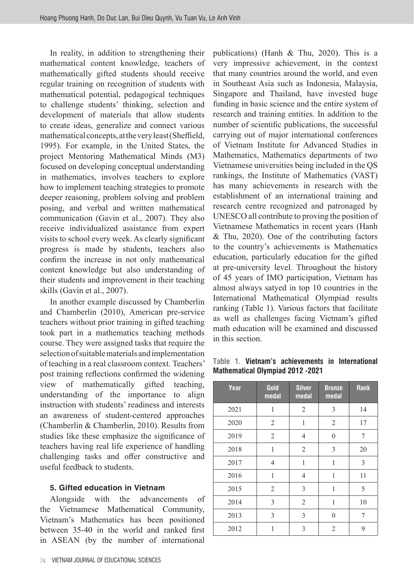In reality, in addition to strengthening their mathematical content knowledge, teachers of mathematically gifted students should receive regular training on recognition of students with mathematical potential, pedagogical techniques to challenge students' thinking, selection and development of materials that allow students to create ideas, generalize and connect various mathematical concepts, at the very least (Sheffield, 1995). For example, in the United States, the project Mentoring Mathematical Minds (M3) focused on developing conceptual understanding in mathematics, involves teachers to explore how to implement teaching strategies to promote deeper reasoning, problem solving and problem posing, and verbal and written mathematical communication (Gavin et al., 2007). They also receive individualized assistance from expert visits to school every week. As clearly significant progress is made by students, teachers also confirm the increase in not only mathematical content knowledge but also understanding of their students and improvement in their teaching skills (Gavin et al., 2007).

In another example discussed by Chamberlin and Chamberlin (2010), American pre-service teachers without prior training in gifted teaching took part in a mathematics teaching methods course. They were assigned tasks that require the selection of suitable materials and implementation of teaching in a real classroom context. Teachers' post training reflections confirmed the widening view of mathematically gifted teaching, understanding of the importance to align instruction with students' readiness and interests an awareness of student-centered approaches (Chamberlin & Chamberlin, 2010). Results from studies like these emphasize the significance of teachers having real life experience of handling challenging tasks and offer constructive and useful feedback to students.

## **5. Gifted education in Vietnam**

Alongside with the advancements of the Vietnamese Mathematical Community, Vietnam's Mathematics has been positioned between 35-40 in the world and ranked first in ASEAN (by the number of international

74 VIETNAM JOURNAL OF EDUCATIONAL SCIENCES

publications) (Hanh & Thu, 2020). This is a very impressive achievement, in the context that many countries around the world, and even in Southeast Asia such as Indonesia, Malaysia, Singapore and Thailand, have invested huge funding in basic science and the entire system of research and training entities. In addition to the number of scientific publications, the successful carrying out of major international conferences of Vietnam Institute for Advanced Studies in Mathematics, Mathematics departments of two Vietnamese universities being included in the QS rankings, the Institute of Mathematics (VAST) has many achievements in research with the establishment of an international training and research centre recognized and patronaged by UNESCO all contribute to proving the position of Vietnamese Mathematics in recent years (Hanh & Thu, 2020). One of the contributing factors to the country's achievements is Mathematics education, particularly education for the gifted at pre-university level. Throughout the history of 45 years of IMO participation, Vietnam has almost always satyed in top 10 countries in the International Mathematical Olympiad results ranking (Table 1). Various factors that facilitate as well as challenges facing Vietnam's gifted math education will be examined and discussed in this section.

**Table 1. Vietnam's achievements in International Mathematical Olympiad 2012 -2021**

| Year | Gold<br>medal  | <b>Silver</b><br>medal | <b>Bronze</b><br>medal | Rank |
|------|----------------|------------------------|------------------------|------|
| 2021 | 1              | $\overline{2}$         | 3                      | 14   |
| 2020 | 2              | 1                      | $\overline{2}$         | 17   |
| 2019 | $\overline{2}$ | $\overline{4}$         | $\theta$               | 7    |
| 2018 | $\mathbf 1$    | $\overline{2}$         | 3                      | 20   |
| 2017 | 4              | 1                      | $\mathbf{1}$           | 3    |
| 2016 | 1              | $\overline{4}$         | $\mathbf{1}$           | 11   |
| 2015 | $\overline{2}$ | 3                      | 1                      | 5    |
| 2014 | 3              | $\overline{2}$         | 1                      | 10   |
| 2013 | 3              | 3                      | $\theta$               | 7    |
| 2012 | 1              | 3                      | $\overline{2}$         | 9    |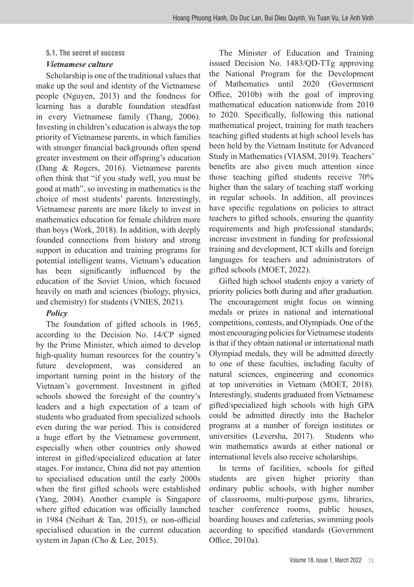#### 5.1. The secret of success

## *Vietnamese culture*

Scholarship is one of the traditional values that make up the soul and identity of the Vietnamese people (Nguyen, 2013) and the fondness for learning has a durable foundation steadfast in every Vietnamese family (Thang, 2006). Investing in children's education is always the top priority of Vietnamese parents, in which families with stronger financial backgrounds often spend greater investment on their offspring's education (Dang & Rogers, 2016). Vietnamese parents often think that "if you study well, you must be good at math", so investing in mathematics is the choice of most students' parents. Interestingly, Vietnamese parents are more likely to invest in mathematics education for female children more than boys (Work, 2018). In addition, with deeply founded connections from history and strong support in education and training programs for potential intelligent teams, Vietnam's education has been significantly influenced by the education of the Soviet Union, which focused heavily on math and sciences (biology, physics, and chemistry) for students (VNIES, 2021).

# *Policy*

The foundation of gifted schools in 1965, according to the Decision No. 14/CP signed by the Prime Minister, which aimed to develop high-quality human resources for the country's future development, was considered an important turning point in the history of the Vietnam's government. Investment in gifted schools showed the foresight of the country's leaders and a high expectation of a team of students who graduated from specialized schools even during the war period. This is considered a huge effort by the Vietnamese government, especially when other countries only showed interest in gifted/specialized education at later stages. For instance, China did not pay attention to specialised education until the early 2000s when the first gifted schools were established (Yang, 2004). Another example is Singapore where gifted education was officially launched in 1984 (Neihart & Tan, 2015), or non-official specialised education in the current education system in Japan (Cho & Lee, 2015).

The Minister of Education and Training issued Decision No. 1483/QD-TTg approving the National Program for the Development of Mathematics until 2020 (Government Office, 2010b) with the goal of improving mathematical education nationwide from 2010 to 2020. Specifically, following this national mathematical project, training for math teachers teaching gifted students at high school levels has been held by the Vietnam Institute for Advanced Study in Mathematics (VIASM, 2019). Teachers' benefits are also given much attention since those teaching gifted students receive 70% higher than the salary of teaching staff working in regular schools. In addition, all provinces have specific regulations on policies to attract teachers to gifted schools, ensuring the quantity requirements and high professional standards; increase investment in funding for professional training and development, ICT skills and foreign languages for teachers and administrators of gifted schools (MOET, 2022).

Gifted high school students enjoy a variety of priority policies both during and after graduation. The encouragement might focus on winning medals or prizes in national and international competitions, contests, and Olympiads. One of the most encouraging policies for Vietnamese students is that if they obtain national or international math Olympiad medals, they will be admitted directly to one of these faculties, including faculty of natural sciences, engineering and economics at top universities in Vietnam (MOET, 2018). Interestingly, students graduated from Vietnamese gifted/specialized high schools with high GPA could be admitted directly into the Bachelor programs at a number of foreign institutes or universities (Leversha, 2017). Students who win mathematics awards at either national or international levels also receive scholarships.

In terms of facilities, schools for gifted students are given higher priority than ordinary public schools, with higher number of classrooms, multi-purpose gyms, libraries, teacher conference rooms, public houses, boarding houses and cafeterias, swimming pools according to specified standards (Government Office, 2010a).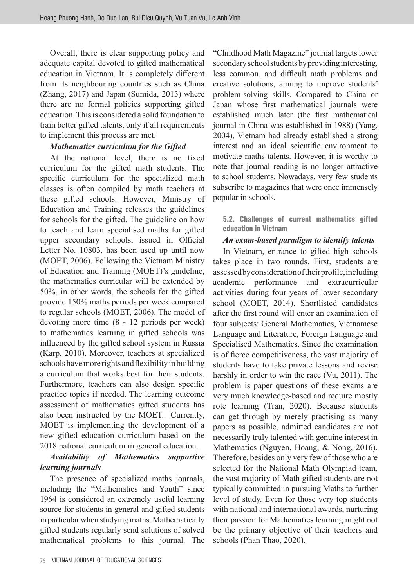Overall, there is clear supporting policy and adequate capital devoted to gifted mathematical education in Vietnam. It is completely different from its neighbouring countries such as China (Zhang, 2017) and Japan (Sumida, 2013) where there are no formal policies supporting gifted education. This is considered a solid foundation to train better gifted talents, only if all requirements to implement this process are met.

## *Mathematics curriculum for the Gifted*

At the national level, there is no fixed curriculum for the gifted math students. The specific curriculum for the specialized math classes is often compiled by math teachers at these gifted schools. However, Ministry of Education and Training releases the guidelines for schools for the gifted. The guideline on how to teach and learn specialised maths for gifted upper secondary schools, issued in Official Letter No. 10803, has been used up until now (MOET, 2006). Following the Vietnam Ministry of Education and Training (MOET)'s guideline, the mathematics curricular will be extended by 50%, in other words, the schools for the gifted provide 150% maths periods per week compared to regular schools (MOET, 2006). The model of devoting more time (8 - 12 periods per week) to mathematics learning in gifted schools was influenced by the gifted school system in Russia (Karp, 2010). Moreover, teachers at specialized schools have more rights and flexibility in building a curriculum that works best for their students. Furthermore, teachers can also design specific practice topics if needed. The learning outcome assessment of mathematics gifted students has also been instructed by the MOET. Currently, MOET is implementing the development of a new gifted education curriculum based on the 2018 national curriculum in general education.

## *Availability of Mathematics supportive learning journals*

The presence of specialized maths journals, including the "Mathematics and Youth" since 1964 is considered an extremely useful learning source for students in general and gifted students in particular when studying maths. Mathematically gifted students regularly send solutions of solved mathematical problems to this journal. The

76 VIETNAM JOURNAL OF EDUCATIONAL SCIENCES

"Childhood Math Magazine" journal targets lower secondary school students by providing interesting, less common, and difficult math problems and creative solutions, aiming to improve students' problem-solving skills. Compared to China or Japan whose first mathematical journals were established much later (the first mathematical journal in China was established in 1988) (Yang, 2004), Vietnam had already established a strong interest and an ideal scientific environment to motivate maths talents. However, it is worthy to note that journal reading is no longer attractive to school students. Nowadays, very few students subscribe to magazines that were once immensely popular in schools.

5.2. Challenges of current mathematics gifted education in Vietnam

## *An exam-based paradigm to identify talents*

In Vietnam, entrance to gifted high schools takes place in two rounds. First, students are assessed by consideration of their profile, including academic performance and extracurricular activities during four years of lower secondary school (MOET, 2014). Shortlisted candidates after the first round will enter an examination of four subjects: General Mathematics, Vietnamese Language and Literature, Foreign Language and Specialised Mathematics. Since the examination is of fierce competitiveness, the vast majority of students have to take private lessons and revise harshly in order to win the race (Vu, 2011). The problem is paper questions of these exams are very much knowledge-based and require mostly rote learning (Tran, 2020). Because students can get through by merely practising as many papers as possible, admitted candidates are not necessarily truly talented with genuine interest in Mathematics (Nguyen, Hoang, & Nong, 2016). Therefore, besides only very few of those who are selected for the National Math Olympiad team, the vast majority of Math gifted students are not typically committed in pursuing Maths to further level of study. Even for those very top students with national and international awards, nurturing their passion for Mathematics learning might not be the primary objective of their teachers and schools (Phan Thao, 2020).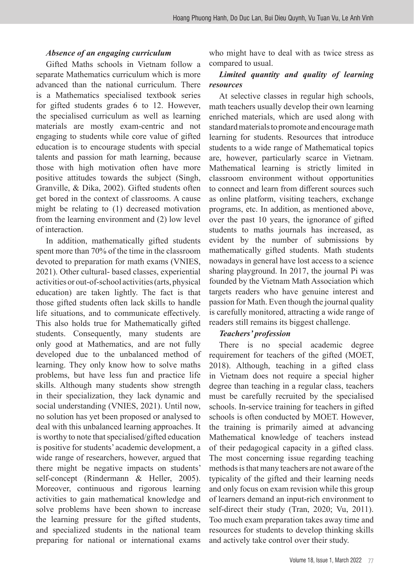#### *Absence of an engaging curriculum*

Gifted Maths schools in Vietnam follow a separate Mathematics curriculum which is more advanced than the national curriculum. There is a Mathematics specialised textbook series for gifted students grades 6 to 12. However, the specialised curriculum as well as learning materials are mostly exam-centric and not engaging to students while core value of gifted education is to encourage students with special talents and passion for math learning, because those with high motivation often have more positive attitudes towards the subject (Singh, Granville, & Dika, 2002). Gifted students often get bored in the context of classrooms. A cause might be relating to (1) decreased motivation from the learning environment and (2) low level of interaction.

In addition, mathematically gifted students spent more than 70% of the time in the classroom devoted to preparation for math exams (VNIES, 2021). Other cultural- based classes, experiential activities or out-of-school activities (arts, physical education) are taken lightly. The fact is that those gifted students often lack skills to handle life situations, and to communicate effectively. This also holds true for Mathematically gifted students. Consequently, many students are only good at Mathematics, and are not fully developed due to the unbalanced method of learning. They only know how to solve maths problems, but have less fun and practice life skills. Although many students show strength in their specialization, they lack dynamic and social understanding (VNIES, 2021). Until now, no solution has yet been proposed or analysed to deal with this unbalanced learning approaches. It is worthy to note that specialised/gifted education is positive for students' academic development, a wide range of researchers, however, argued that there might be negative impacts on students' self-concept (Rindermann & Heller, 2005). Moreover, continuous and rigorous learning activities to gain mathematical knowledge and solve problems have been shown to increase the learning pressure for the gifted students, and specialized students in the national team preparing for national or international exams

who might have to deal with as twice stress as compared to usual.

## *Limited quantity and quality of learning resources*

At selective classes in regular high schools, math teachers usually develop their own learning enriched materials, which are used along with standard materials to promote and encourage math learning for students. Resources that introduce students to a wide range of Mathematical topics are, however, particularly scarce in Vietnam. Mathematical learning is strictly limited in classroom environment without opportunities to connect and learn from different sources such as online platform, visiting teachers, exchange programs, etc. In addition, as mentioned above, over the past 10 years, the ignorance of gifted students to maths journals has increased, as evident by the number of submissions by mathematically gifted students. Math students nowadays in general have lost access to a science sharing playground. In 2017, the journal Pi was founded by the Vietnam Math Association which targets readers who have genuine interest and passion for Math. Even though the journal quality is carefully monitored, attracting a wide range of readers still remains its biggest challenge.

## *Teachers' profession*

There is no special academic degree requirement for teachers of the gifted (MOET, 2018). Although, teaching in a gifted class in Vietnam does not require a special higher degree than teaching in a regular class, teachers must be carefully recruited by the specialised schools. In-service training for teachers in gifted schools is often conducted by MOET. However, the training is primarily aimed at advancing Mathematical knowledge of teachers instead of their pedagogical capacity in a gifted class. The most concerning issue regarding teaching methods is that many teachers are not aware of the typicality of the gifted and their learning needs and only focus on exam revision while this group of learners demand an input-rich environment to self-direct their study (Tran, 2020; Vu, 2011). Too much exam preparation takes away time and resources for students to develop thinking skills and actively take control over their study.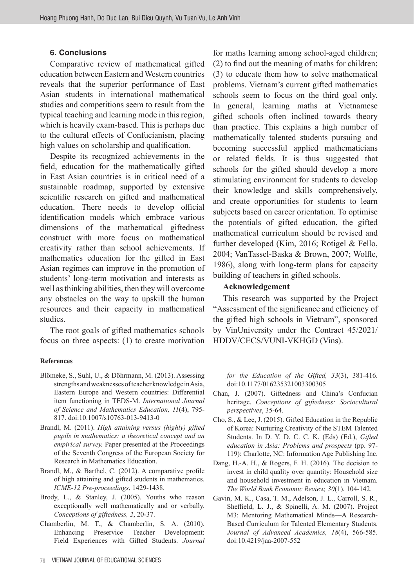#### **6. Conclusions**

Comparative review of mathematical gifted education between Eastern and Western countries reveals that the superior performance of East Asian students in international mathematical studies and competitions seem to result from the typical teaching and learning mode in this region, which is heavily exam-based. This is perhaps due to the cultural effects of Confucianism, placing high values on scholarship and qualification.

Despite its recognized achievements in the field, education for the mathematically gifted in East Asian countries is in critical need of a sustainable roadmap, supported by extensive scientific research on gifted and mathematical education. There needs to develop official identification models which embrace various dimensions of the mathematical giftedness construct with more focus on mathematical creativity rather than school achievements. If mathematics education for the gifted in East Asian regimes can improve in the promotion of students' long-term motivation and interests as well as thinking abilities, then they will overcome any obstacles on the way to upskill the human resources and their capacity in mathematical studies.

The root goals of gifted mathematics schools focus on three aspects: (1) to create motivation

#### **References**

- Blömeke, S., Suhl, U., & Döhrmann, M. (2013). Assessing strengths and weaknesses of teacher knowledge in Asia, Eastern Europe and Western countries: Differential item functioning in TEDS-M. *International Journal of Science and Mathematics Education, 11*(4), 795- 817. doi:10.1007/s10763-013-9413-0
- Brandl, M. (2011). *High attaining versus (highly) gifted pupils in mathematics: a theoretical concept and an empirical survey.* Paper presented at the Proceedings of the Seventh Congress of the European Society for Research in Mathematics Education.
- Brandl, M., & Barthel, C. (2012). A comparative profile of high attaining and gifted students in mathematics. *ICME-12 Pre-proceedings*, 1429-1438.
- Brody, L., & Stanley, J. (2005). Youths who reason exceptionally well mathematically and or verbally. *Conceptions of giftedness, 2*, 20-37.
- Chamberlin, M. T., & Chamberlin, S. A. (2010). Enhancing Preservice Teacher Development: Field Experiences with Gifted Students. *Journal*

for maths learning among school-aged children; (2) to find out the meaning of maths for children; (3) to educate them how to solve mathematical problems. Vietnam's current gifted mathematics schools seem to focus on the third goal only. In general, learning maths at Vietnamese gifted schools often inclined towards theory than practice. This explains a high number of mathematically talented students pursuing and becoming successful applied mathematicians or related fields. It is thus suggested that schools for the gifted should develop a more stimulating environment for students to develop their knowledge and skills comprehensively, and create opportunities for students to learn subjects based on career orientation. To optimise the potentials of gifted education, the gifted mathematical curriculum should be revised and further developed (Kim, 2016; Rotigel & Fello, 2004; VanTassel-Baska & Brown, 2007; Wolfle, 1986), along with long-term plans for capacity building of teachers in gifted schools.

#### **Acknowledgement**

This research was supported by the Project "Assessment of the significance and efficiency of the gifted high schools in Vietnam", sponsored by VinUniversity under the Contract 45/2021/ HDDV/CECS/VUNI-VKHGD (Vins).

*for the Education of the Gifted, 33*(3), 381-416. doi:10.1177/016235321003300305

- Chan, J. (2007). Giftedness and China's Confucian heritage. *Conceptions of giftedness: Sociocultural perspectives*, 35-64.
- Cho, S., & Lee, J. (2015). Gifted Education in the Republic of Korea: Nurturing Creativity of the STEM Talented Students. In D. Y. D. C. C. K. (Eds) (Ed.), *Gifted education in Asia: Problems and prospects* (pp. 97- 119): Charlotte, NC: Information Age Publishing Inc.
- Dang, H.-A. H., & Rogers, F. H. (2016). The decision to invest in child quality over quantity: Household size and household investment in education in Vietnam. *The World Bank Economic Review, 30*(1), 104-142.
- Gavin, M. K., Casa, T. M., Adelson, J. L., Carroll, S. R., Sheffield, L. J., & Spinelli, A. M. (2007). Project M3: Mentoring Mathematical Minds—A Research-Based Curriculum for Talented Elementary Students. *Journal of Advanced Academics, 18*(4), 566-585. doi:10.4219/jaa-2007-552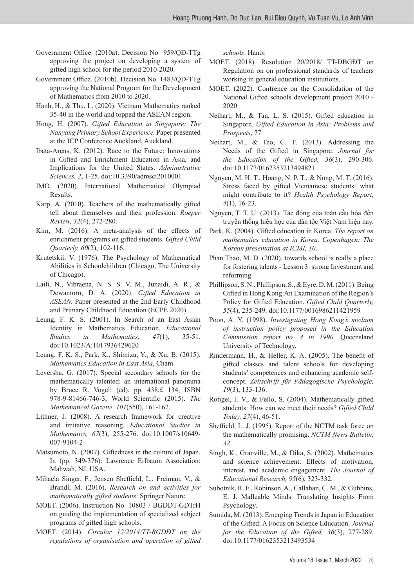- Government Office. (2010a). Decision No 959/QĐ-TTg approving the project on developing a system of gifted high school for the period 2010-2020.
- Government Office. (2010b). Decision No. 1483/QD-TTg approving the National Program for the Development of Mathematics from 2010 to 2020.
- Hanh, H., & Thu, L. (2020). Vietnam Mathematics ranked 35-40 in the world and topped the ASEAN region.
- Hong, H. (2007). *Gifted Education in Singapore: The Nanyang Primary School Experience.* Paper presented at the ICP Conference Auckland, Auckland.
- Ibata-Arens, K. (2012). Race to the Future: Innovations in Gifted and Enrichment Education in Asia, and Implications for the United States. *Administrative Sciences, 2*, 1-25. doi:10.3390/admsci2010001
- IMO. (2020). International Mathematical Olympiad Results.
- Karp, A. (2010). Teachers of the mathematically gifted tell about themselves and their profession. *Roeper Review, 32*(4), 272-280.
- Kim, M. (2016). A meta-analysis of the effects of enrichment programs on gifted students. *Gifted Child Quarterly, 60*(2), 102-116.
- Krutetskii, V. (1976). The Psychology of Mathematical Abilities in Schoolchildren (Chicago, The University of Chicago).
- Laili, N., Vibraena, N. S. S. V. M., Junaidi, A. R., & Dewantoro, D. A. (2020). *Gifted Education in ASEAN.* Paper presented at the 2nd Early Childhood and Primary Childhood Education (ECPE 2020).
- Leung, F. K. S. (2001). In Search of an East Asian Identity in Mathematics Education. *Educational Studies in Mathematics, 47*(1), 35-51. doi:10.1023/A:1017936429620
- Leung, F. K. S., Park, K., Shimizu, Y., & Xu, B. (2015). *Mathematics Education in East Asia*, Cham.
- Leversha, G. (2017). Special secondary schools for the mathematically talented: an international panorama by Bruce R. Vogeli (ed), pp. 438,£ 134, ISBN 978-9-81466-746-3, World Scientific (2015). *The Mathematical Gazette, 101*(550), 161-162.
- Lithner, J. (2008). A research framework for creative and imitative reasoning. *Educational Studies in Mathematics, 67*(3), 255-276. doi:10.1007/s10649- 007-9104-2
- Matsumoto, N. (2007). Giftedness in the culture of Japan. In (pp. 349-376): Lawrence Erlbaum Association: Mahwah, NJ, USA.
- Mihaela Singer, F., Jensen Sheffield, L., Freiman, V., & Brandl, M. (2016). *Research on and activities for mathematically gifted students*: Springer Nature.
- MOET. (2006). Instruction No. 10803 / BGDĐT-GDTrH on guiding the implementation of specialized subject programs of gifted high schools.
- MOET. (2014). *Circular 12/2014/TT-BGDĐT on the regulations of organisation and operation of gifted*

*schools*. Hanoi

- MOET. (2018). Resolution 20/2018/ TT-DBGĐT on Regulation on on professional standards of teachers working in general education institutions.
- MOET. (2022). Confrence on the Consolidation of the National Gifted schools development project 2010 - 2020.
- Neihart, M., & Tan, L. S. (2015). Gifted education in Singapore. *Gifted Education in Asia: Problems and Prospects*, 77.
- Neihart, M., & Teo, C. T. (2013). Addressing the Needs of the Gifted in Singapore. *Journal for the Education of the Gifted, 36*(3), 290-306. doi:10.1177/0162353213494821
- Nguyen, M. H. T., Hoang, N. P. T., & Nong, M. T. (2016). Stress faced by gifted Vietnamese students: what might contribute to it? *Health Psychology Report, 4*(1), 16-23.
- Nguyen, T. T. U. (2013). Tác động của toàn cầu hóa đến truyền thống hiếu học của dân tộc Việt Nam hiện nay.
- Park, K. (2004). Gifted education in Korea. *The report on mathematics education in Korea. Copenhagen: The Korean presentation at ICMI, 10*.
- Phan Thao, M. D. (2020). towards school is really a place for fostering talents - Lesson 3: strong Investment and reforming
- Phillipson, S. N., Phillipson, S., & Eyre, D. M. (2011). Being Gifted in Hong Kong:An Examination of the Region's Policy for Gifted Education. *Gifted Child Quarterly, 55*(4), 235-249. doi:10.1177/0016986211421959
- Poon, A. Y. (1998). *Investigating Hong Kong's medium of instruction policy proposed in the Education Commission report no. 4 in 1990.* Queensland University of Technology,
- Rindermann, H., & Heller, K. A. (2005). The benefit of gifted classes and talent schools for developing students' competences and enhancing academic selfconcept. *Zeitschrift für Pädagogische Psychologie, 19*(3), 133-136.
- Rotigel, J. V., & Fello, S. (2004). Mathematically gifted students: How can we meet their needs? *Gifted Child Today, 27*(4), 46-51.
- Sheffield, L. J. (1995). Report of the NCTM task force on the mathematically promising. *NCTM News Bulletin, 32*.
- Singh, K., Granville, M., & Dika, S. (2002). Mathematics and science achievement: Effects of motivation, interest, and academic engagement. *The Journal of Educational Research, 95*(6), 323-332.
- Subotnik, R. F., Robinson, A., Callahan, C. M., & Gubbins, E. J. Malleable Minds: Translating Insights From Psychology.
- Sumida, M. (2013). Emerging Trends in Japan in Education of the Gifted: A Focus on Science Education. *Journal for the Education of the Gifted, 36*(3), 277-289. doi:10.1177/0162353213493534